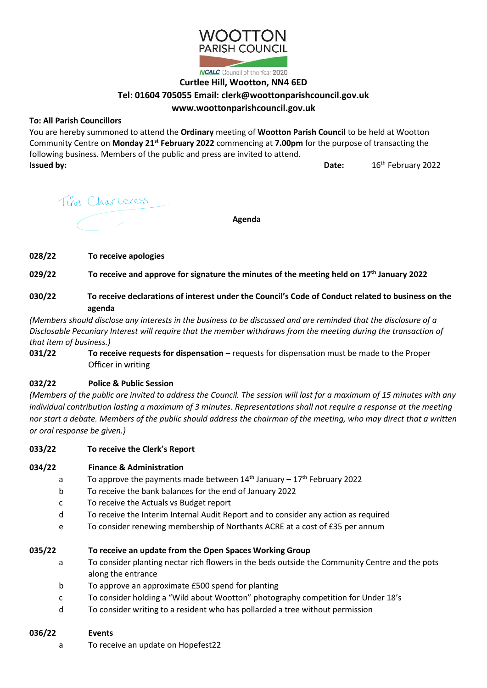

### **Curtlee Hill, Wootton, NN4 6ED**

# **Tel: 01604 705055 Email: clerk@woottonparishcouncil.gov.uk**

## **www.woottonparishcouncil.gov.uk**

### **To: All Parish Councillors**

You are hereby summoned to attend the **Ordinary** meeting of **Wootton Parish Council** to be held at Wootton Community Centre on **Monday 21st February 2022** commencing at **7.00pm** for the purpose of transacting the following business. Members of the public and press are invited to attend. **Issued by: Date: Date: Date: Date: Date: Date: Date: Date: Date: Date: Date: Date: Date: Date: Date: Date: Date: Date: Date: Date: Date: Date: Date: Date: Date: Date:** 16<sup>th</sup> February 2022

Tina Charteress.

**Agenda**

**028/22 To receive apologies** 

**029/22 To receive and approve for signature the minutes of the meeting held on 17 th January 2022**

**030/22 To receive declarations of interest under the Council's Code of Conduct related to business on the agenda**

*(Members should disclose any interests in the business to be discussed and are reminded that the disclosure of a Disclosable Pecuniary Interest will require that the member withdraws from the meeting during the transaction of that item of business.)*

**031/22 To receive requests for dispensation** – requests for dispensation must be made to the Proper Officer in writing

### **032/22 Police & Public Session**

*(Members of the public are invited to address the Council. The session will last for a maximum of 15 minutes with any individual contribution lasting a maximum of 3 minutes. Representations shall not require a response at the meeting nor start a debate. Members of the public should address the chairman of the meeting, who may direct that a written or oral response be given.)*

**033/22 To receive the Clerk's Report**

### **034/22 Finance & Administration**

- a To approve the payments made between  $14<sup>th</sup>$  January  $-17<sup>th</sup>$  February 2022
- b To receive the bank balances for the end of January 2022
- c To receive the Actuals vs Budget report
- d To receive the Interim Internal Audit Report and to consider any action as required
- e To consider renewing membership of Northants ACRE at a cost of £35 per annum

### **035/22 To receive an update from the Open Spaces Working Group**

- a To consider planting nectar rich flowers in the beds outside the Community Centre and the pots along the entrance
- b To approve an approximate £500 spend for planting
- c To consider holding a "Wild about Wootton" photography competition for Under 18's
- d To consider writing to a resident who has pollarded a tree without permission

### **036/22 Events**

a To receive an update on Hopefest22